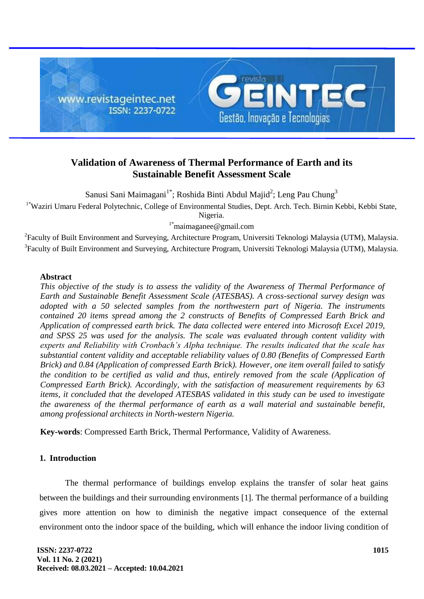

# **Validation of Awareness of Thermal Performance of Earth and its Sustainable Benefit Assessment Scale**

Sanusi Sani Maimagani<sup>1\*</sup>; Roshida Binti Abdul Majid<sup>2</sup>; Leng Pau Chung<sup>3</sup>

<sup>1\*</sup>Waziri Umaru Federal Polytechnic, College of Environmental Studies, Dept. Arch. Tech. Birnin Kebbi, Kebbi State,

Nigeria.

1\*maimaganee@gmail.com

<sup>2</sup> Faculty of Built Environment and Surveying, Architecture Program, Universiti Teknologi Malaysia (UTM), Malaysia. <sup>3</sup>Faculty of Built Environment and Surveying, Architecture Program, Universiti Teknologi Malaysia (UTM), Malaysia.

## **Abstract**

*This objective of the study is to assess the validity of the Awareness of Thermal Performance of Earth and Sustainable Benefit Assessment Scale (ATESBAS). A cross-sectional survey design was adopted with a 50 selected samples from the northwestern part of Nigeria. The instruments contained 20 items spread among the 2 constructs of Benefits of Compressed Earth Brick and Application of compressed earth brick. The data collected were entered into Microsoft Excel 2019, and SPSS 25 was used for the analysis. The scale was evaluated through content validity with experts and Reliability with Cronbach's Alpha technique. The results indicated that the scale has substantial content validity and acceptable reliability values of 0.80 (Benefits of Compressed Earth Brick) and 0.84 (Application of compressed Earth Brick). However, one item overall failed to satisfy the condition to be certified as valid and thus, entirely removed from the scale (Application of Compressed Earth Brick). Accordingly, with the satisfaction of measurement requirements by 63 items, it concluded that the developed ATESBAS validated in this study can be used to investigate the awareness of the thermal performance of earth as a wall material and sustainable benefit, among professional architects in North-western Nigeria.*

**Key-words**: Compressed Earth Brick, Thermal Performance, Validity of Awareness.

## **1. Introduction**

The thermal performance of buildings envelop explains the transfer of solar heat gains between the buildings and their surrounding environments [1]. The thermal performance of a building gives more attention on how to diminish the negative impact consequence of the external environment onto the indoor space of the building, which will enhance the indoor living condition of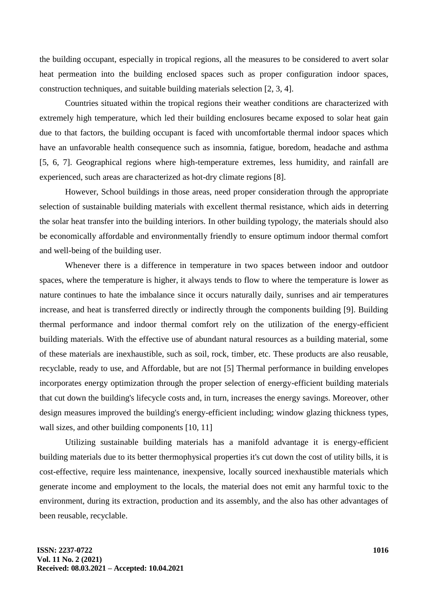the building occupant, especially in tropical regions, all the measures to be considered to avert solar heat permeation into the building enclosed spaces such as proper configuration indoor spaces, construction techniques, and suitable building materials selection [2, 3, 4].

Countries situated within the tropical regions their weather conditions are characterized with extremely high temperature, which led their building enclosures became exposed to solar heat gain due to that factors, the building occupant is faced with uncomfortable thermal indoor spaces which have an unfavorable health consequence such as insomnia, fatigue, boredom, headache and asthma [5, 6, 7]. Geographical regions where high-temperature extremes, less humidity, and rainfall are experienced, such areas are characterized as hot-dry climate regions [8].

However, School buildings in those areas, need proper consideration through the appropriate selection of sustainable building materials with excellent thermal resistance, which aids in deterring the solar heat transfer into the building interiors. In other building typology, the materials should also be economically affordable and environmentally friendly to ensure optimum indoor thermal comfort and well-being of the building user.

Whenever there is a difference in temperature in two spaces between indoor and outdoor spaces, where the temperature is higher, it always tends to flow to where the temperature is lower as nature continues to hate the imbalance since it occurs naturally daily, sunrises and air temperatures increase, and heat is transferred directly or indirectly through the components building [9]. Building thermal performance and indoor thermal comfort rely on the utilization of the energy-efficient building materials. With the effective use of abundant natural resources as a building material, some of these materials are inexhaustible, such as soil, rock, timber, etc. These products are also reusable, recyclable, ready to use, and Affordable, but are not [5] Thermal performance in building envelopes incorporates energy optimization through the proper selection of energy-efficient building materials that cut down the building's lifecycle costs and, in turn, increases the energy savings. Moreover, other design measures improved the building's energy-efficient including; window glazing thickness types, wall sizes, and other building components [10, 11]

Utilizing sustainable building materials has a manifold advantage it is energy-efficient building materials due to its better thermophysical properties it's cut down the cost of utility bills, it is cost-effective, require less maintenance, inexpensive, locally sourced inexhaustible materials which generate income and employment to the locals, the material does not emit any harmful toxic to the environment, during its extraction, production and its assembly, and the also has other advantages of been reusable, recyclable.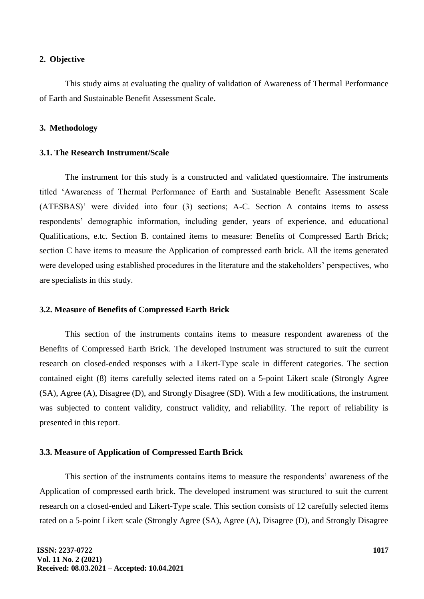#### **2. Objective**

This study aims at evaluating the quality of validation of Awareness of Thermal Performance of Earth and Sustainable Benefit Assessment Scale.

### **3. Methodology**

### **3.1. The Research Instrument/Scale**

The instrument for this study is a constructed and validated questionnaire. The instruments titled 'Awareness of Thermal Performance of Earth and Sustainable Benefit Assessment Scale (ATESBAS)' were divided into four (3) sections; A-C. Section A contains items to assess respondents' demographic information, including gender, years of experience, and educational Qualifications, e.tc. Section B. contained items to measure: Benefits of Compressed Earth Brick; section C have items to measure the Application of compressed earth brick. All the items generated were developed using established procedures in the literature and the stakeholders' perspectives, who are specialists in this study.

#### **3.2. Measure of Benefits of Compressed Earth Brick**

This section of the instruments contains items to measure respondent awareness of the Benefits of Compressed Earth Brick. The developed instrument was structured to suit the current research on closed-ended responses with a Likert-Type scale in different categories. The section contained eight (8) items carefully selected items rated on a 5-point Likert scale (Strongly Agree (SA), Agree (A), Disagree (D), and Strongly Disagree (SD). With a few modifications, the instrument was subjected to content validity, construct validity, and reliability. The report of reliability is presented in this report.

#### **3.3. Measure of Application of Compressed Earth Brick**

This section of the instruments contains items to measure the respondents' awareness of the Application of compressed earth brick. The developed instrument was structured to suit the current research on a closed-ended and Likert-Type scale. This section consists of 12 carefully selected items rated on a 5-point Likert scale (Strongly Agree (SA), Agree (A), Disagree (D), and Strongly Disagree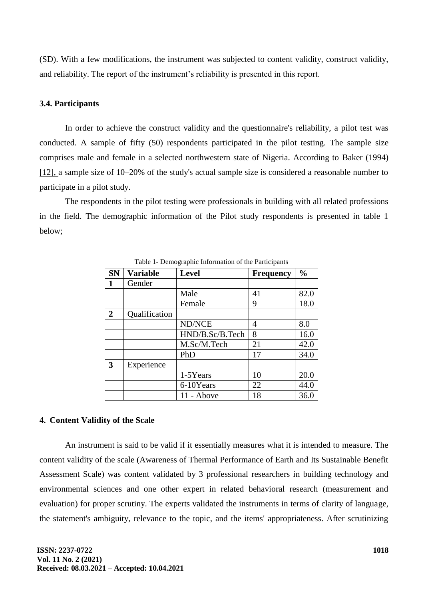(SD). With a few modifications, the instrument was subjected to content validity, construct validity, and reliability. The report of the instrument's reliability is presented in this report.

## **3.4. Participants**

In order to achieve the construct validity and the questionnaire's reliability, a pilot test was conducted. A sample of fifty (50) respondents participated in the pilot testing. The sample size comprises male and female in a selected northwestern state of Nigeria. According to Baker (1994) [12], a sample size of 10–20% of the study's actual sample size is considered a reasonable number to participate in a pilot study.

The respondents in the pilot testing were professionals in building with all related professions in the field. The demographic information of the Pilot study respondents is presented in table 1 below;

| <b>SN</b>      | <b>Variable</b> | <b>Level</b>    | <b>Frequency</b> | $\frac{0}{0}$ |
|----------------|-----------------|-----------------|------------------|---------------|
|                | Gender          |                 |                  |               |
|                |                 | Male            | 41               | 82.0          |
|                |                 | Female          | 9                | 18.0          |
| $\overline{2}$ | Qualification   |                 |                  |               |
|                |                 | ND/NCE          | 4                | 8.0           |
|                |                 | HND/B.Sc/B.Tech | 8                | 16.0          |
|                |                 | M.Sc/M.Tech     | 21               | 42.0          |
|                |                 | PhD             | 17               | 34.0          |
| 3              | Experience      |                 |                  |               |
|                |                 | 1-5Years        | 10               | 20.0          |
|                |                 | 6-10Years       | 22               | 44.0          |
|                |                 | 11 - Above      | 18               | 36.0          |

Table 1- Demographic Information of the Participants

#### **4. Content Validity of the Scale**

An instrument is said to be valid if it essentially measures what it is intended to measure. The content validity of the scale (Awareness of Thermal Performance of Earth and Its Sustainable Benefit Assessment Scale) was content validated by 3 professional researchers in building technology and environmental sciences and one other expert in related behavioral research (measurement and evaluation) for proper scrutiny. The experts validated the instruments in terms of clarity of language, the statement's ambiguity, relevance to the topic, and the items' appropriateness. After scrutinizing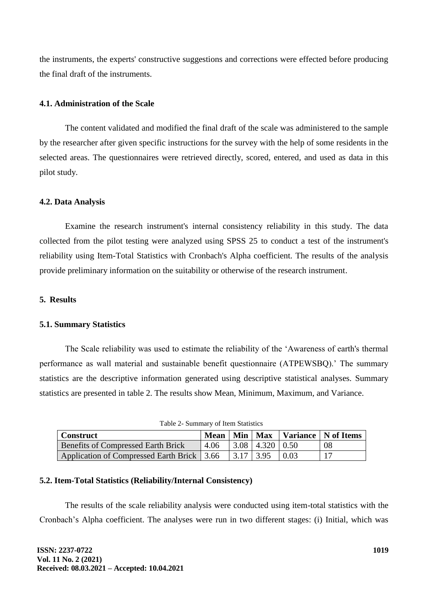the instruments, the experts' constructive suggestions and corrections were effected before producing the final draft of the instruments.

## **4.1. Administration of the Scale**

The content validated and modified the final draft of the scale was administered to the sample by the researcher after given specific instructions for the survey with the help of some residents in the selected areas. The questionnaires were retrieved directly, scored, entered, and used as data in this pilot study.

## **4.2. Data Analysis**

Examine the research instrument's internal consistency reliability in this study. The data collected from the pilot testing were analyzed using SPSS 25 to conduct a test of the instrument's reliability using Item-Total Statistics with Cronbach's Alpha coefficient. The results of the analysis provide preliminary information on the suitability or otherwise of the research instrument.

# **5. Results**

## **5.1. Summary Statistics**

The Scale reliability was used to estimate the reliability of the 'Awareness of earth's thermal performance as wall material and sustainable benefit questionnaire (ATPEWSBQ).' The summary statistics are the descriptive information generated using descriptive statistical analyses. Summary statistics are presented in table 2. The results show Mean, Minimum, Maximum, and Variance.

| $14010 = 041111141$ , $0110111101110100$                  |      |  |                                           |  |                                          |
|-----------------------------------------------------------|------|--|-------------------------------------------|--|------------------------------------------|
| Construct                                                 |      |  |                                           |  | Mean   Min   Max   Variance   N of Items |
| <b>Benefits of Compressed Earth Brick</b>                 | 4.06 |  | $\vert 3.08 \vert 4.320 \vert 0.50 \vert$ |  | 08                                       |
| Application of Compressed Earth Brick 3.66 3.17 3.95 0.03 |      |  |                                           |  |                                          |

| Table 2- Summary of Item Statistics |  |
|-------------------------------------|--|

# **5.2. Item-Total Statistics (Reliability/Internal Consistency)**

The results of the scale reliability analysis were conducted using item-total statistics with the Cronbach's Alpha coefficient. The analyses were run in two different stages: (i) Initial, which was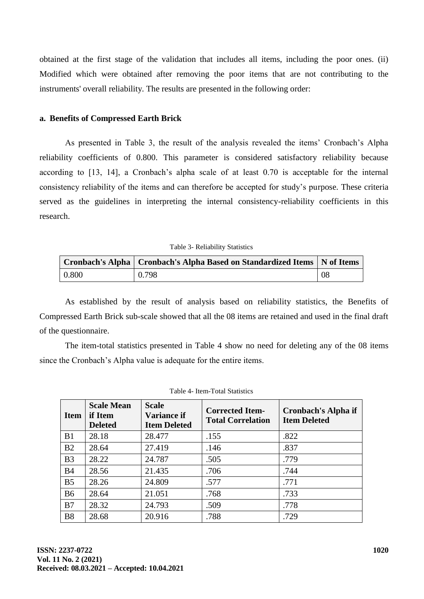obtained at the first stage of the validation that includes all items, including the poor ones. (ii) Modified which were obtained after removing the poor items that are not contributing to the instruments' overall reliability. The results are presented in the following order:

#### **a. Benefits of Compressed Earth Brick**

As presented in Table 3, the result of the analysis revealed the items' Cronbach's Alpha reliability coefficients of 0.800. This parameter is considered satisfactory reliability because according to [13, 14], a Cronbach's alpha scale of at least 0.70 is acceptable for the internal consistency reliability of the items and can therefore be accepted for study's purpose. These criteria served as the guidelines in interpreting the internal consistency-reliability coefficients in this research.

Table 3- Reliability Statistics

|       | Cronbach's Alpha   Cronbach's Alpha Based on Standardized Items   N of Items |     |
|-------|------------------------------------------------------------------------------|-----|
| 0.800 | 0.798                                                                        | -08 |

As established by the result of analysis based on reliability statistics, the Benefits of Compressed Earth Brick sub-scale showed that all the 08 items are retained and used in the final draft of the questionnaire.

The item-total statistics presented in Table 4 show no need for deleting any of the 08 items since the Cronbach's Alpha value is adequate for the entire items.

| <b>Item</b>    | <b>Scale Mean</b><br>if Item<br><b>Deleted</b> | <b>Scale</b><br><b>Variance if</b><br><b>Item Deleted</b> | <b>Corrected Item-</b><br><b>Total Correlation</b> | Cronbach's Alpha if<br><b>Item Deleted</b> |
|----------------|------------------------------------------------|-----------------------------------------------------------|----------------------------------------------------|--------------------------------------------|
| B <sub>1</sub> | 28.18                                          | 28.477                                                    | .155                                               | .822                                       |
| B <sub>2</sub> | 28.64                                          | 27.419                                                    | .146                                               | .837                                       |
| B <sub>3</sub> | 28.22                                          | 24.787                                                    | .505                                               | .779                                       |
| B <sub>4</sub> | 28.56                                          | 21.435                                                    | .706                                               | .744                                       |
| B <sub>5</sub> | 28.26                                          | 24.809                                                    | .577                                               | .771                                       |
| <b>B6</b>      | 28.64                                          | 21.051                                                    | .768                                               | .733                                       |
| B7             | 28.32                                          | 24.793                                                    | .509                                               | .778                                       |
| B <sub>8</sub> | 28.68                                          | 20.916                                                    | .788                                               | .729                                       |

|  | Table 4- Item-Total Statistics |  |
|--|--------------------------------|--|
|--|--------------------------------|--|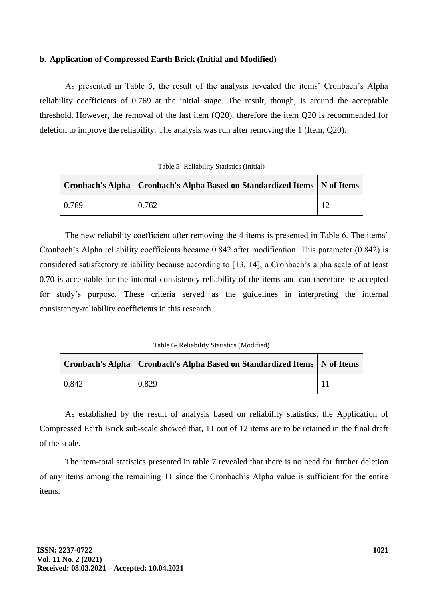# **b. Application of Compressed Earth Brick (Initial and Modified)**

As presented in Table 5, the result of the analysis revealed the items' Cronbach's Alpha reliability coefficients of 0.769 at the initial stage. The result, though, is around the acceptable threshold. However, the removal of the last item (Q20), therefore the item Q20 is recommended for deletion to improve the reliability. The analysis was run after removing the 1 (Item, Q20).

| Table 5- Reliability Statistics (Initial) |  |
|-------------------------------------------|--|
|-------------------------------------------|--|

|                 | Cronbach's Alpha   Cronbach's Alpha Based on Standardized Items   N of Items |  |
|-----------------|------------------------------------------------------------------------------|--|
| $ 0.769\rangle$ | 0.762                                                                        |  |

The new reliability coefficient after removing the 4 items is presented in Table 6. The items' Cronbach's Alpha reliability coefficients became 0.842 after modification. This parameter (0.842) is considered satisfactory reliability because according to [13, 14], a Cronbach's alpha scale of at least 0.70 is acceptable for the internal consistency reliability of the items and can therefore be accepted for study's purpose. These criteria served as the guidelines in interpreting the internal consistency-reliability coefficients in this research.

Table 6- Reliability Statistics (Modified)

|       | Cronbach's Alpha   Cronbach's Alpha Based on Standardized Items   N of Items |  |
|-------|------------------------------------------------------------------------------|--|
| 0.842 | 0.829                                                                        |  |

As established by the result of analysis based on reliability statistics, the Application of Compressed Earth Brick sub-scale showed that, 11 out of 12 items are to be retained in the final draft of the scale.

The item-total statistics presented in table 7 revealed that there is no need for further deletion of any items among the remaining 11 since the Cronbach's Alpha value is sufficient for the entire items.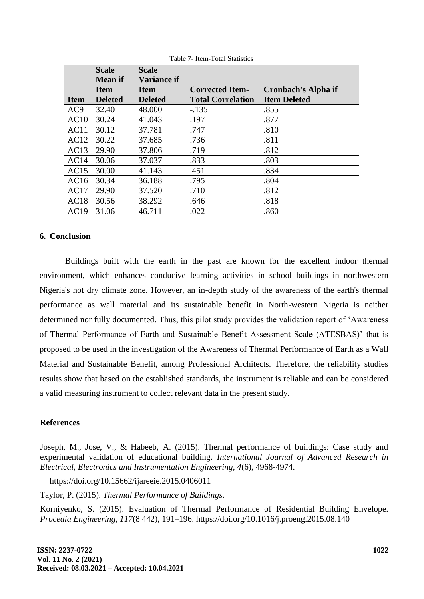|                 | <b>Scale</b>                  | <b>Scale</b>                  |                                                    |                                            |
|-----------------|-------------------------------|-------------------------------|----------------------------------------------------|--------------------------------------------|
|                 | <b>Mean</b> if                | <b>Variance if</b>            |                                                    |                                            |
| <b>Item</b>     | <b>Item</b><br><b>Deleted</b> | <b>Item</b><br><b>Deleted</b> | <b>Corrected Item-</b><br><b>Total Correlation</b> | Cronbach's Alpha if<br><b>Item Deleted</b> |
|                 |                               |                               |                                                    |                                            |
| AC <sub>9</sub> | 32.40                         | 48.000                        | $-135$                                             | .855                                       |
| AC10            | 30.24                         | 41.043                        | .197                                               | .877                                       |
| AC11            | 30.12                         | 37.781                        | .747                                               | .810                                       |
| AC12            | 30.22                         | 37.685                        | .736                                               | .811                                       |
| AC13            | 29.90                         | 37.806                        | .719                                               | .812                                       |
| AC14            | 30.06                         | 37.037                        | .833                                               | .803                                       |
| AC15            | 30.00                         | 41.143                        | .451                                               | .834                                       |
| AC16            | 30.34                         | 36.188                        | .795                                               | .804                                       |
| AC17            | 29.90                         | 37.520                        | .710                                               | .812                                       |
| AC18            | 30.56                         | 38.292                        | .646                                               | .818                                       |
| AC19            | 31.06                         | 46.711                        | .022                                               | .860                                       |

Table 7- Item-Total Statistics

#### **6. Conclusion**

Buildings built with the earth in the past are known for the excellent indoor thermal environment, which enhances conducive learning activities in school buildings in northwestern Nigeria's hot dry climate zone. However, an in-depth study of the awareness of the earth's thermal performance as wall material and its sustainable benefit in North-western Nigeria is neither determined nor fully documented. Thus, this pilot study provides the validation report of 'Awareness of Thermal Performance of Earth and Sustainable Benefit Assessment Scale (ATESBAS)' that is proposed to be used in the investigation of the Awareness of Thermal Performance of Earth as a Wall Material and Sustainable Benefit, among Professional Architects. Therefore, the reliability studies results show that based on the established standards, the instrument is reliable and can be considered a valid measuring instrument to collect relevant data in the present study.

#### **References**

Joseph, M., Jose, V., & Habeeb, A. (2015). Thermal performance of buildings: Case study and experimental validation of educational building. *International Journal of Advanced Research in Electrical, Electronics and Instrumentation Engineering, 4*(6), 4968-4974.

https://doi.org/10.15662/ijareeie.2015.0406011

Taylor, P. (2015). *Thermal Performance of Buildings.*

Korniyenko, S. (2015). Evaluation of Thermal Performance of Residential Building Envelope. *Procedia Engineering, 117*(8 442), 191–196. https://doi.org/10.1016/j.proeng.2015.08.140